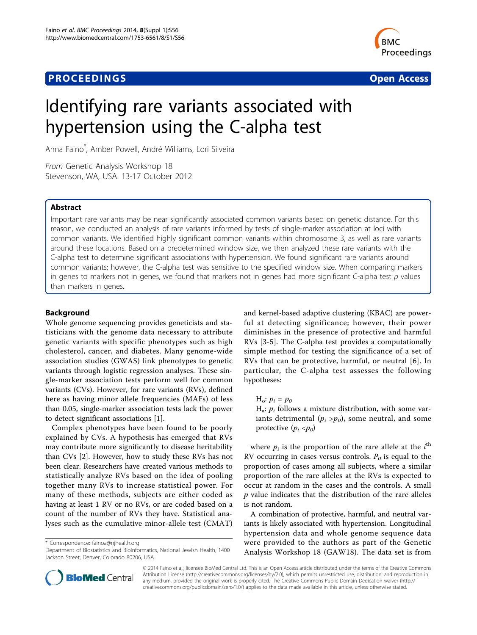## **PROCEEDINGS CONSUMING S** Open Access **CONSUMING S**



# Identifying rare variants associated with hypertension using the C-alpha test

Anna Faino\* , Amber Powell, André Williams, Lori Silveira

From Genetic Analysis Workshop 18 Stevenson, WA, USA. 13-17 October 2012

## Abstract

Important rare variants may be near significantly associated common variants based on genetic distance. For this reason, we conducted an analysis of rare variants informed by tests of single-marker association at loci with common variants. We identified highly significant common variants within chromosome 3, as well as rare variants around these locations. Based on a predetermined window size, we then analyzed these rare variants with the C-alpha test to determine significant associations with hypertension. We found significant rare variants around common variants; however, the C-alpha test was sensitive to the specified window size. When comparing markers in genes to markers not in genes, we found that markers not in genes had more significant C-alpha test p values than markers in genes.

### Background

Whole genome sequencing provides geneticists and statisticians with the genome data necessary to attribute genetic variants with specific phenotypes such as high cholesterol, cancer, and diabetes. Many genome-wide association studies (GWAS) link phenotypes to genetic variants through logistic regression analyses. These single-marker association tests perform well for common variants (CVs). However, for rare variants (RVs), defined here as having minor allele frequencies (MAFs) of less than 0.05, single-marker association tests lack the power to detect significant associations [\[1](#page-2-0)].

Complex phenotypes have been found to be poorly explained by CVs. A hypothesis has emerged that RVs may contribute more significantly to disease heritability than CVs [\[2](#page-2-0)]. However, how to study these RVs has not been clear. Researchers have created various methods to statistically analyze RVs based on the idea of pooling together many RVs to increase statistical power. For many of these methods, subjects are either coded as having at least 1 RV or no RVs, or are coded based on a count of the number of RVs they have. Statistical analyses such as the cumulative minor-allele test (CMAT)

\* Correspondence: [fainoa@njhealth.org](mailto:fainoa@njhealth.org)

and kernel-based adaptive clustering (KBAC) are powerful at detecting significance; however, their power diminishes in the presence of protective and harmful RVs [\[3](#page-2-0)-[5\]](#page-3-0). The C-alpha test provides a computationally simple method for testing the significance of a set of RVs that can be protective, harmful, or neutral [\[6](#page-3-0)]. In particular, the C-alpha test assesses the following hypotheses:

## $H_o: p_i = p_o$

 $H_a$ :  $p_i$  follows a mixture distribution, with some variants detrimental  $(p_i > p_0)$ , some neutral, and some protective  $(p_i \langle p_0 \rangle)$ 

where  $p_i$  is the proportion of the rare allele at the  $i^{\text{th}}$ RV occurring in cases versus controls.  $P_0$  is equal to the proportion of cases among all subjects, where a similar proportion of the rare alleles at the RVs is expected to occur at random in the cases and the controls. A small  $p$  value indicates that the distribution of the rare alleles is not random.

A combination of protective, harmful, and neutral variants is likely associated with hypertension. Longitudinal hypertension data and whole genome sequence data were provided to the authors as part of the Genetic Analysis Workshop 18 (GAW18). The data set is from



© 2014 Faino et al.; licensee BioMed Central Ltd. This is an Open Access article distributed under the terms of the Creative Commons Attribution License [\(http://creativecommons.org/licenses/by/2.0](http://creativecommons.org/licenses/by/2.0)), which permits unrestricted use, distribution, and reproduction in any medium, provided the original work is properly cited. The Creative Commons Public Domain Dedication waiver [\(http://](http://creativecommons.org/publicdomain/zero/1.0/) [creativecommons.org/publicdomain/zero/1.0/](http://creativecommons.org/publicdomain/zero/1.0/)) applies to the data made available in this article, unless otherwise stated.

Department of Biostatistics and Bioinformatics, National Jewish Health, 1400 Jackson Street, Denver, Colorado 80206, USA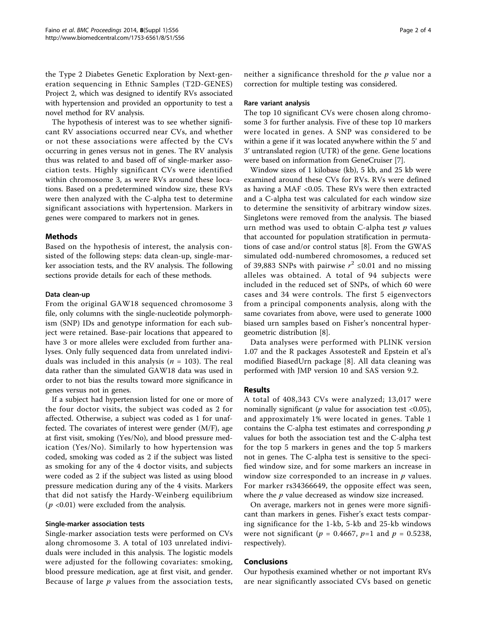the Type 2 Diabetes Genetic Exploration by Next-generation sequencing in Ethnic Samples (T2D-GENES) Project 2, which was designed to identify RVs associated with hypertension and provided an opportunity to test a novel method for RV analysis.

The hypothesis of interest was to see whether significant RV associations occurred near CVs, and whether or not these associations were affected by the CVs occurring in genes versus not in genes. The RV analysis thus was related to and based off of single-marker association tests. Highly significant CVs were identified within chromosome 3, as were RVs around these locations. Based on a predetermined window size, these RVs were then analyzed with the C-alpha test to determine significant associations with hypertension. Markers in genes were compared to markers not in genes.

## Methods

Based on the hypothesis of interest, the analysis consisted of the following steps: data clean-up, single-marker association tests, and the RV analysis. The following sections provide details for each of these methods.

### Data clean-up

From the original GAW18 sequenced chromosome 3 file, only columns with the single-nucleotide polymorphism (SNP) IDs and genotype information for each subject were retained. Base-pair locations that appeared to have 3 or more alleles were excluded from further analyses. Only fully sequenced data from unrelated individuals was included in this analysis ( $n = 103$ ). The real data rather than the simulated GAW18 data was used in order to not bias the results toward more significance in genes versus not in genes.

If a subject had hypertension listed for one or more of the four doctor visits, the subject was coded as 2 for affected. Otherwise, a subject was coded as 1 for unaffected. The covariates of interest were gender (M/F), age at first visit, smoking (Yes/No), and blood pressure medication (Yes/No). Similarly to how hypertension was coded, smoking was coded as 2 if the subject was listed as smoking for any of the 4 doctor visits, and subjects were coded as 2 if the subject was listed as using blood pressure medication during any of the 4 visits. Markers that did not satisfy the Hardy-Weinberg equilibrium  $(p \langle 0.01 \rangle)$  were excluded from the analysis.

#### Single-marker association tests

Single-marker association tests were performed on CVs along chromosome 3. A total of 103 unrelated individuals were included in this analysis. The logistic models were adjusted for the following covariates: smoking, blood pressure medication, age at first visit, and gender. Because of large  $p$  values from the association tests,

neither a significance threshold for the  $p$  value nor a correction for multiple testing was considered.

#### Rare variant analysis

The top 10 significant CVs were chosen along chromosome 3 for further analysis. Five of these top 10 markers were located in genes. A SNP was considered to be within a gene if it was located anywhere within the 5′ and 3′ untranslated region (UTR) of the gene. Gene locations were based on information from GeneCruiser [[7\]](#page-3-0).

Window sizes of 1 kilobase (kb), 5 kb, and 25 kb were examined around these CVs for RVs. RVs were defined as having a MAF <0.05. These RVs were then extracted and a C-alpha test was calculated for each window size to determine the sensitivity of arbitrary window sizes. Singletons were removed from the analysis. The biased urn method was used to obtain C-alpha test  $p$  values that accounted for population stratification in permutations of case and/or control status [\[8\]](#page-3-0). From the GWAS simulated odd-numbered chromosomes, a reduced set of 39,883 SNPs with pairwise  $r^2 \le 0.01$  and no missing alleles was obtained. A total of 94 subjects were included in the reduced set of SNPs, of which 60 were cases and 34 were controls. The first 5 eigenvectors from a principal components analysis, along with the same covariates from above, were used to generate 1000 biased urn samples based on Fisher's noncentral hypergeometric distribution [\[8](#page-3-0)].

Data analyses were performed with PLINK version 1.07 and the R packages AssotesteR and Epstein et al's modified BiasedUrn package [[8](#page-3-0)]. All data cleaning was performed with JMP version 10 and SAS version 9.2.

## Results

A total of 408,343 CVs were analyzed; 13,017 were nominally significant ( $p$  value for association test <0.05), and approximately 1% were located in genes. Table [1](#page-2-0) contains the C-alpha test estimates and corresponding  $p$ values for both the association test and the C-alpha test for the top 5 markers in genes and the top 5 markers not in genes. The C-alpha test is sensitive to the specified window size, and for some markers an increase in window size corresponded to an increase in  $p$  values. For marker rs34366649, the opposite effect was seen, where the  $p$  value decreased as window size increased.

On average, markers not in genes were more significant than markers in genes. Fisher's exact tests comparing significance for the 1-kb, 5-kb and 25-kb windows were not significant ( $p = 0.4667$ ,  $p=1$  and  $p = 0.5238$ , respectively).

## Conclusions

Our hypothesis examined whether or not important RVs are near significantly associated CVs based on genetic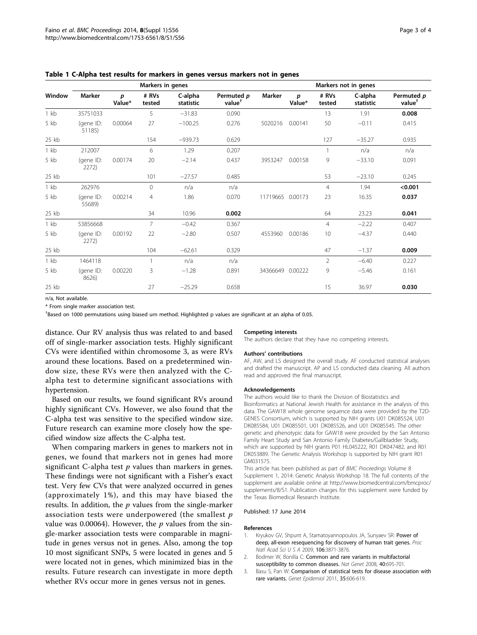|        | Markers in genes    |             |                 |                      |                                  | Markers not in genes |             |                 |                      |                                  |
|--------|---------------------|-------------|-----------------|----------------------|----------------------------------|----------------------|-------------|-----------------|----------------------|----------------------------------|
| Window | Marker              | p<br>Value* | # RVs<br>tested | C-alpha<br>statistic | Permuted p<br>value <sup>†</sup> | <b>Marker</b>        | p<br>Value* | # RVs<br>tested | C-alpha<br>statistic | Permuted p<br>value <sup>†</sup> |
| $1$ kb | 35751033            |             | 5               | $-31.83$             | 0.090                            |                      |             | 13              | 1.91                 | 0.008                            |
| 5 kb   | (gene ID:<br>51185) | 0.00064     | 27              | $-100.25$            | 0.276                            | 5020216              | 0.00141     | 50              | $-0.11$              | 0.415                            |
| 25 kb  |                     |             | 154             | $-939.73$            | 0.629                            |                      |             | 127             | $-35.27$             | 0.935                            |
| $1$ kb | 212007              |             | 6               | 1.29                 | 0.207                            |                      |             |                 | n/a                  | n/a                              |
| 5 kb   | (gene ID:<br>2272)  | 0.00174     | 20              | $-2.14$              | 0.437                            | 3953247              | 0.00158     | 9               | $-33.10$             | 0.091                            |
| 25 kb  |                     |             | 101             | $-27.57$             | 0.485                            |                      |             | 53              | $-23.10$             | 0.245                            |
| $1$ kb | 262976              |             | $\overline{0}$  | n/a                  | n/a                              |                      |             | $\overline{4}$  | 1.94                 | < 0.001                          |
| 5 kb   | (gene ID:<br>55689) | 0.00214     | 4               | 1.86                 | 0.070                            | 11719665 0.00173     |             | 23              | 16.35                | 0.037                            |
| 25 kb  |                     |             | 34              | 10.96                | 0.002                            |                      |             | 64              | 23.23                | 0.041                            |
| $1$ kb | 53856668            |             | 7               | $-0.42$              | 0.367                            |                      |             | $\overline{4}$  | $-2.22$              | 0.407                            |
| 5 kb   | (gene ID:<br>2272)  | 0.00192     | 22              | $-2.80$              | 0.507                            | 4553960              | 0.00186     | 10              | $-4.37$              | 0.440                            |
| 25 kb  |                     |             | 104             | $-62.61$             | 0.329                            |                      |             | 47              | $-1.37$              | 0.009                            |
| $1$ kb | 1464118             |             | $\mathbf{1}$    | n/a                  | n/a                              |                      |             | $\overline{2}$  | $-6.40$              | 0.227                            |
| 5 kb   | (gene ID:<br>8626)  | 0.00220     | 3               | $-1.28$              | 0.891                            | 34366649             | 0.00222     | 9               | $-5.46$              | 0.161                            |
| 25 kb  |                     |             | 27              | $-25.29$             | 0.658                            |                      |             | 15              | 36.97                | 0.030                            |

<span id="page-2-0"></span>Table 1 C-Alpha test results for markers in genes versus markers not in genes

n/a, Not available.

\* From single marker association test.

† Based on 1000 permutations using biased urn method. Highlighted p values are significant at an alpha of 0.05.

distance. Our RV analysis thus was related to and based off of single-marker association tests. Highly significant CVs were identified within chromosome 3, as were RVs around these locations. Based on a predetermined window size, these RVs were then analyzed with the Calpha test to determine significant associations with hypertension.

Based on our results, we found significant RVs around highly significant CVs. However, we also found that the C-alpha test was sensitive to the specified window size. Future research can examine more closely how the specified window size affects the C-alpha test.

When comparing markers in genes to markers not in genes, we found that markers not in genes had more significant C-alpha test  $p$  values than markers in genes. These findings were not significant with a Fisher's exact test. Very few CVs that were analyzed occurred in genes (approximately 1%), and this may have biased the results. In addition, the  $p$  values from the single-marker association tests were underpowered (the smallest p value was 0.00064). However, the  $p$  values from the single-marker association tests were comparable in magnitude in genes versus not in genes. Also, among the top 10 most significant SNPs, 5 were located in genes and 5 were located not in genes, which minimized bias in the results. Future research can investigate in more depth whether RVs occur more in genes versus not in genes.

#### Competing interests

The authors declare that they have no competing interests.

#### Authors' contributions

AF, AW, and LS designed the overall study. AF conducted statistical analyses and drafted the manuscript. AP and LS conducted data cleaning. All authors read and approved the final manuscript.

#### Acknowledgements

The authors would like to thank the Division of Biostatistics and Bioinformatics at National Jewish Health for assistance in the analysis of this data. The GAW18 whole genome sequence data were provided by the T2D-GENES Consortium, which is supported by NIH grants U01 DK085524, U01 DK085584, U01 DK085501, U01 DK085526, and U01 DK085545. The other genetic and phenotypic data for GAW18 were provided by the San Antonio Family Heart Study and San Antonio Family Diabetes/Gallbladder Study, which are supported by NIH grants P01 HL045222, R01 DK047482, and R01 DK053889. The Genetic Analysis Workshop is supported by NIH grant R01 GM031575.

This article has been published as part of BMC Proceedings Volume 8 Supplement 1, 2014: Genetic Analysis Workshop 18. The full contents of the supplement are available online at [http://www.biomedcentral.com/bmcproc/](http://www.biomedcentral.com/bmcproc/supplements/8/S1) [supplements/8/S1.](http://www.biomedcentral.com/bmcproc/supplements/8/S1) Publication charges for this supplement were funded by the Texas Biomedical Research Institute.

#### Published: 17 June 2014

#### References

- 1. Kryukov GV, Shpunt A, Stamatoyannopoulos JA, Sunyaev SR: [Power of](http://www.ncbi.nlm.nih.gov/pubmed/19202052?dopt=Abstract) [deep, all-exon resequencing for discovery of human trait genes.](http://www.ncbi.nlm.nih.gov/pubmed/19202052?dopt=Abstract) Proc Natl Acad Sci U S A 2009, 106:3871-3876.
- 2. Bodmer W, Bonilla C: [Common and rare variants in multifactorial](http://www.ncbi.nlm.nih.gov/pubmed/18509313?dopt=Abstract) [susceptibility to common diseases.](http://www.ncbi.nlm.nih.gov/pubmed/18509313?dopt=Abstract) Nat Genet 2008, 40:695-701.
- 3. Basu S, Pan W: [Comparison of statistical tests for disease association with](http://www.ncbi.nlm.nih.gov/pubmed/21769936?dopt=Abstract) [rare variants.](http://www.ncbi.nlm.nih.gov/pubmed/21769936?dopt=Abstract) Genet Epidemiol 2011, 35:606-619.